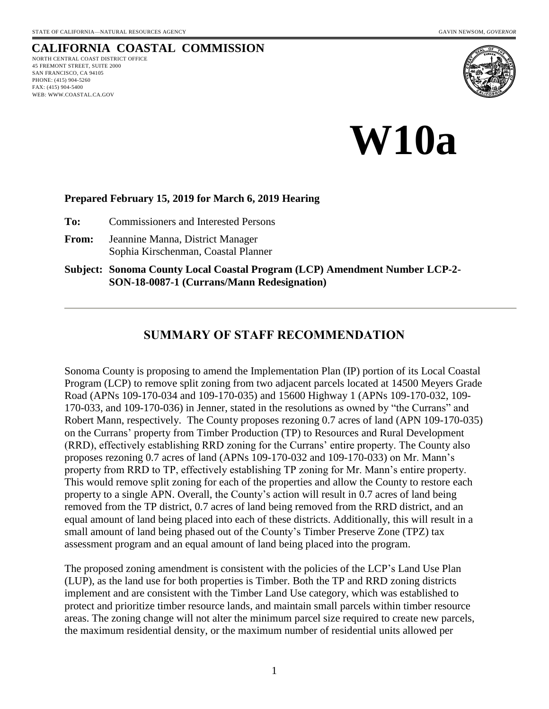# **CALIFORNIA COASTAL COMMISSION**

NORTH CENTRAL COAST DISTRICT OFFICE 45 FREMONT STREET, SUITE 2000 SAN FRANCISCO, CA 94105 PHONE: (415) 904-5260 FAX: (415) 904-5400 WEB: WWW.COASTAL.CA.GOV



**W10a**

#### **Prepared February 15, 2019 for March 6, 2019 Hearing**

**To:** Commissioners and Interested Persons

**From:** Jeannine Manna, District Manager Sophia Kirschenman, Coastal Planner

**Subject: Sonoma County Local Coastal Program (LCP) Amendment Number LCP-2- SON-18-0087-1 (Currans/Mann Redesignation)**

#### **SUMMARY OF STAFF RECOMMENDATION**

Sonoma County is proposing to amend the Implementation Plan (IP) portion of its Local Coastal Program (LCP) to remove split zoning from two adjacent parcels located at 14500 Meyers Grade Road (APNs 109-170-034 and 109-170-035) and 15600 Highway 1 (APNs 109-170-032, 109- 170-033, and 109-170-036) in Jenner, stated in the resolutions as owned by "the Currans" and Robert Mann, respectively. The County proposes rezoning 0.7 acres of land (APN 109-170-035) on the Currans' property from Timber Production (TP) to Resources and Rural Development (RRD), effectively establishing RRD zoning for the Currans' entire property. The County also proposes rezoning 0.7 acres of land (APNs 109-170-032 and 109-170-033) on Mr. Mann's property from RRD to TP, effectively establishing TP zoning for Mr. Mann's entire property. This would remove split zoning for each of the properties and allow the County to restore each property to a single APN. Overall, the County's action will result in 0.7 acres of land being removed from the TP district, 0.7 acres of land being removed from the RRD district, and an equal amount of land being placed into each of these districts. Additionally, this will result in a small amount of land being phased out of the County's Timber Preserve Zone (TPZ) tax assessment program and an equal amount of land being placed into the program.

The proposed zoning amendment is consistent with the policies of the LCP's Land Use Plan (LUP), as the land use for both properties is Timber. Both the TP and RRD zoning districts implement and are consistent with the Timber Land Use category, which was established to protect and prioritize timber resource lands, and maintain small parcels within timber resource areas. The zoning change will not alter the minimum parcel size required to create new parcels, the maximum residential density, or the maximum number of residential units allowed per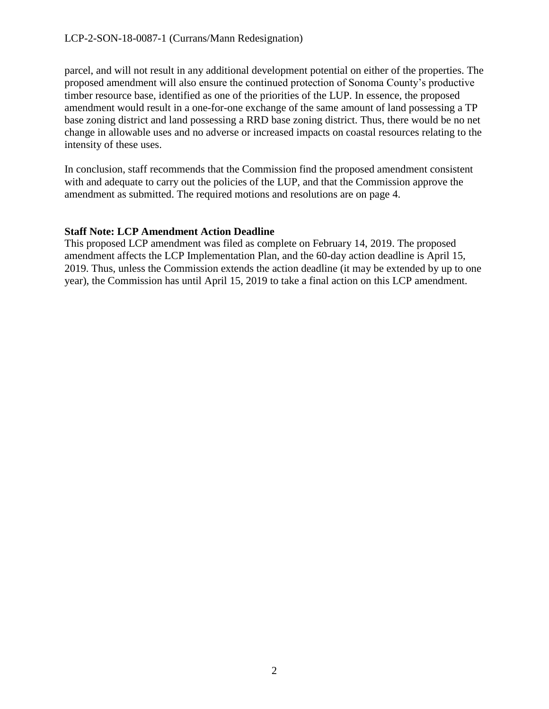#### LCP-2-SON-18-0087-1 (Currans/Mann Redesignation)

parcel, and will not result in any additional development potential on either of the properties. The proposed amendment will also ensure the continued protection of Sonoma County's productive timber resource base, identified as one of the priorities of the LUP. In essence, the proposed amendment would result in a one-for-one exchange of the same amount of land possessing a TP base zoning district and land possessing a RRD base zoning district. Thus, there would be no net change in allowable uses and no adverse or increased impacts on coastal resources relating to the intensity of these uses.

In conclusion, staff recommends that the Commission find the proposed amendment consistent with and adequate to carry out the policies of the LUP, and that the Commission approve the amendment as submitted. The required motions and resolutions are on page 4.

#### **Staff Note: LCP Amendment Action Deadline**

This proposed LCP amendment was filed as complete on February 14, 2019. The proposed amendment affects the LCP Implementation Plan, and the 60-day action deadline is April 15, 2019. Thus, unless the Commission extends the action deadline (it may be extended by up to one year), the Commission has until April 15, 2019 to take a final action on this LCP amendment.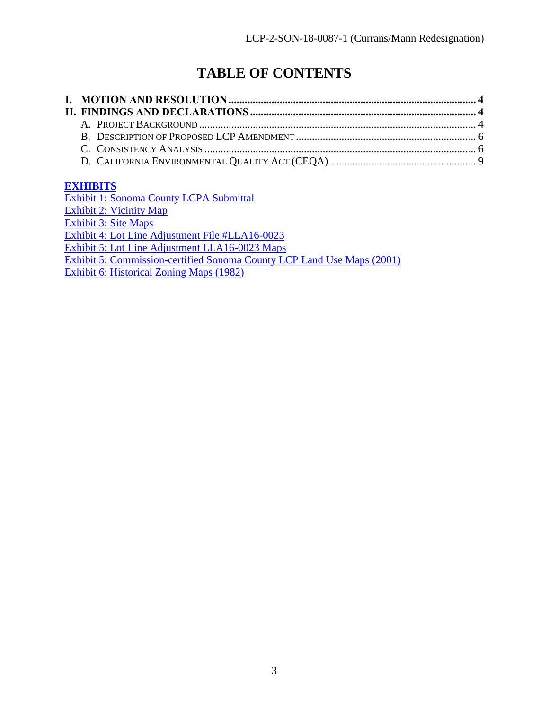# **TABLE OF CONTENTS**

## **[EXHIBITS](https://documents.coastal.ca.gov/reports/2019/3/W10a/W10a-3-2019-exhibits.pdf)**

Exhibit 1: [Sonoma County LCPA Submittal](https://documents.coastal.ca.gov/reports/2019/3/W10a/W10a-3-2019-exhibits.pdf) [Exhibit 2: Vicinity Map](https://documents.coastal.ca.gov/reports/2019/3/W10a/W10a-3-2019-exhibits.pdf) [Exhibit 3: Site Maps](https://documents.coastal.ca.gov/reports/2019/3/W10a/W10a-3-2019-exhibits.pdf) [Exhibit 4: Lot Line Adjustment File #LLA16-0023](https://documents.coastal.ca.gov/reports/2019/3/W10a/W10a-3-2019-exhibits.pdf) [Exhibit 5: Lot Line Adjustment LLA16-0023 Maps](https://documents.coastal.ca.gov/reports/2019/3/W10a/W10a-3-2019-exhibits.pdf) Exhibit 5: Commission-certified [Sonoma County LCP Land Use Maps \(2001\)](https://documents.coastal.ca.gov/reports/2019/3/W10a/W10a-3-2019-exhibits.pdf) [Exhibit 6: Historical Zoning Maps \(1982\)](https://documents.coastal.ca.gov/reports/2019/3/W10a/W10a-3-2019-exhibits.pdf)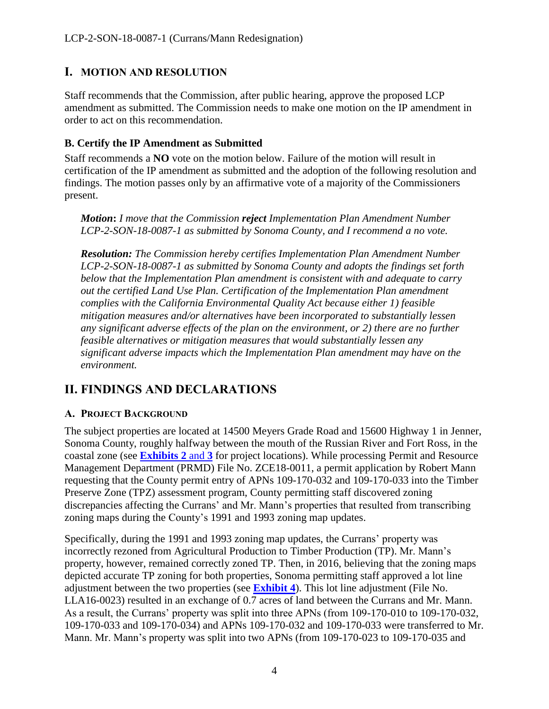# <span id="page-3-0"></span>**I. MOTION AND RESOLUTION**

Staff recommends that the Commission, after public hearing, approve the proposed LCP amendment as submitted. The Commission needs to make one motion on the IP amendment in order to act on this recommendation.

#### **B. Certify the IP Amendment as Submitted**

Staff recommends a **NO** vote on the motion below. Failure of the motion will result in certification of the IP amendment as submitted and the adoption of the following resolution and findings. The motion passes only by an affirmative vote of a majority of the Commissioners present.

*Motion***:** *I move that the Commission reject Implementation Plan Amendment Number LCP-2-SON-18-0087-1 as submitted by Sonoma County, and I recommend a no vote.*

*Resolution: The Commission hereby certifies Implementation Plan Amendment Number LCP-2-SON-18-0087-1 as submitted by Sonoma County and adopts the findings set forth below that the Implementation Plan amendment is consistent with and adequate to carry out the certified Land Use Plan. Certification of the Implementation Plan amendment complies with the California Environmental Quality Act because either 1) feasible mitigation measures and/or alternatives have been incorporated to substantially lessen any significant adverse effects of the plan on the environment, or 2) there are no further feasible alternatives or mitigation measures that would substantially lessen any significant adverse impacts which the Implementation Plan amendment may have on the environment.*

# <span id="page-3-1"></span>**II. FINDINGS AND DECLARATIONS**

#### <span id="page-3-2"></span>**A. PROJECT BACKGROUND**

The subject properties are located at 14500 Meyers Grade Road and 15600 Highway 1 in Jenner, Sonoma County, roughly halfway between the mouth of the Russian River and Fort Ross, in the coastal zone (see **[Exhibits 2](https://documents.coastal.ca.gov/reports/2019/3/W10a/W10a-3-2019-exhibits.pdf)** and **3** for project locations). While processing Permit and Resource Management Department (PRMD) File No. ZCE18-0011, a permit application by Robert Mann requesting that the County permit entry of APNs 109-170-032 and 109-170-033 into the Timber Preserve Zone (TPZ) assessment program, County permitting staff discovered zoning discrepancies affecting the Currans' and Mr. Mann's properties that resulted from transcribing zoning maps during the County's 1991 and 1993 zoning map updates.

Specifically, during the 1991 and 1993 zoning map updates, the Currans' property was incorrectly rezoned from Agricultural Production to Timber Production (TP). Mr. Mann's property, however, remained correctly zoned TP. Then, in 2016, believing that the zoning maps depicted accurate TP zoning for both properties, Sonoma permitting staff approved a lot line adjustment between the two properties (see **[Exhibit 4](https://documents.coastal.ca.gov/reports/2019/3/W10a/W10a-3-2019-exhibits.pdf)**). This lot line adjustment (File No. LLA16-0023) resulted in an exchange of 0.7 acres of land between the Currans and Mr. Mann. As a result, the Currans' property was split into three APNs (from 109-170-010 to 109-170-032, 109-170-033 and 109-170-034) and APNs 109-170-032 and 109-170-033 were transferred to Mr. Mann. Mr. Mann's property was split into two APNs (from 109-170-023 to 109-170-035 and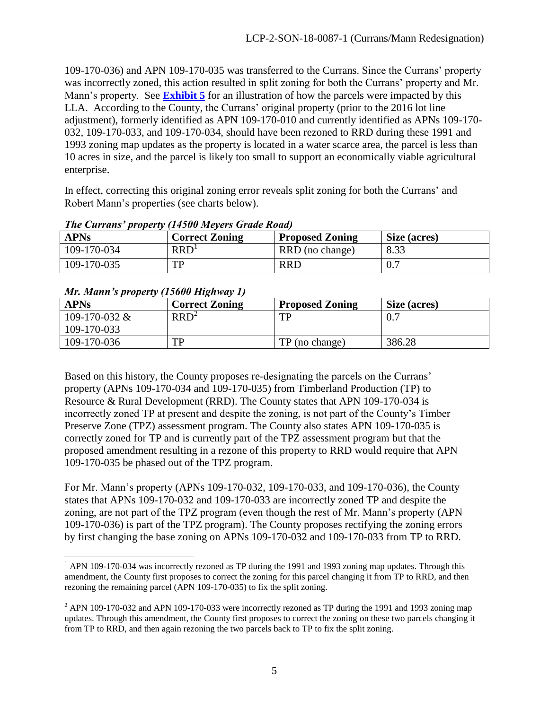109-170-036) and APN 109-170-035 was transferred to the Currans. Since the Currans' property was incorrectly zoned, this action resulted in split zoning for both the Currans' property and Mr. Mann's property. See **[Exhibit 5](https://documents.coastal.ca.gov/reports/2019/3/W10a/W10a-3-2019-exhibits.pdf)** for an illustration of how the parcels were impacted by this LLA. According to the County, the Currans' original property (prior to the 2016 lot line adjustment), formerly identified as APN 109-170-010 and currently identified as APNs 109-170- 032, 109-170-033, and 109-170-034, should have been rezoned to RRD during these 1991 and 1993 zoning map updates as the property is located in a water scarce area, the parcel is less than 10 acres in size, and the parcel is likely too small to support an economically viable agricultural enterprise.

In effect, correcting this original zoning error reveals split zoning for both the Currans' and Robert Mann's properties (see charts below).

| <b>APNs</b> | <b>Correct Zoning</b> | <b>Proposed Zoning</b> | Size (acres) |
|-------------|-----------------------|------------------------|--------------|
| 109-170-034 | RRD <sup>1</sup>      | RRD (no change)        | 8.33         |
| 109-170-035 | TP                    | <b>RRD</b>             |              |

#### *The Currans' property (14500 Meyers Grade Road)*

|  |  | Mr. Mann's property (15600 Highway 1) |
|--|--|---------------------------------------|
|  |  |                                       |

| <b>APNs</b>     | <b>Correct Zoning</b> | <b>Proposed Zoning</b> | Size (acres) |  |  |  |  |
|-----------------|-----------------------|------------------------|--------------|--|--|--|--|
| 109-170-032 $&$ | RRD <sup>2</sup>      | TР                     | 0.7          |  |  |  |  |
| 109-170-033     |                       |                        |              |  |  |  |  |
| 109-170-036     | TP                    | TP (no change)         | 386.28       |  |  |  |  |

Based on this history, the County proposes re-designating the parcels on the Currans' property (APNs 109-170-034 and 109-170-035) from Timberland Production (TP) to Resource & Rural Development (RRD). The County states that APN 109-170-034 is incorrectly zoned TP at present and despite the zoning, is not part of the County's Timber Preserve Zone (TPZ) assessment program. The County also states APN 109-170-035 is correctly zoned for TP and is currently part of the TPZ assessment program but that the proposed amendment resulting in a rezone of this property to RRD would require that APN 109-170-035 be phased out of the TPZ program.

For Mr. Mann's property (APNs 109-170-032, 109-170-033, and 109-170-036), the County states that APNs 109-170-032 and 109-170-033 are incorrectly zoned TP and despite the zoning, are not part of the TPZ program (even though the rest of Mr. Mann's property (APN 109-170-036) is part of the TPZ program). The County proposes rectifying the zoning errors by first changing the base zoning on APNs 109-170-032 and 109-170-033 from TP to RRD.

 $\overline{a}$ <sup>1</sup> APN 109-170-034 was incorrectly rezoned as TP during the 1991 and 1993 zoning map updates. Through this amendment, the County first proposes to correct the zoning for this parcel changing it from TP to RRD, and then rezoning the remaining parcel (APN 109-170-035) to fix the split zoning.

 $^2$  APN 109-170-032 and APN 109-170-033 were incorrectly rezoned as TP during the 1991 and 1993 zoning map updates. Through this amendment, the County first proposes to correct the zoning on these two parcels changing it from TP to RRD, and then again rezoning the two parcels back to TP to fix the split zoning.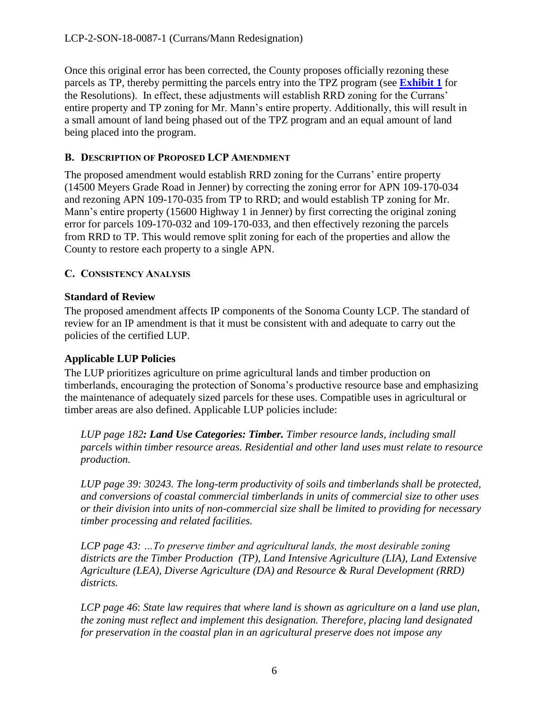Once this original error has been corrected, the County proposes officially rezoning these parcels as TP, thereby permitting the parcels entry into the TPZ program (see **[Exhibit 1](https://documents.coastal.ca.gov/reports/2019/3/W10a/W10a-3-2019-exhibits.pdf)** for the Resolutions). In effect, these adjustments will establish RRD zoning for the Currans' entire property and TP zoning for Mr. Mann's entire property. Additionally, this will result in a small amount of land being phased out of the TPZ program and an equal amount of land being placed into the program.

#### <span id="page-5-0"></span>**B. DESCRIPTION OF PROPOSED LCP AMENDMENT**

The proposed amendment would establish RRD zoning for the Currans' entire property (14500 Meyers Grade Road in Jenner) by correcting the zoning error for APN 109-170-034 and rezoning APN 109-170-035 from TP to RRD; and would establish TP zoning for Mr. Mann's entire property (15600 Highway 1 in Jenner) by first correcting the original zoning error for parcels 109-170-032 and 109-170-033, and then effectively rezoning the parcels from RRD to TP. This would remove split zoning for each of the properties and allow the County to restore each property to a single APN.

#### <span id="page-5-1"></span>**C. CONSISTENCY ANALYSIS**

#### **Standard of Review**

The proposed amendment affects IP components of the Sonoma County LCP. The standard of review for an IP amendment is that it must be consistent with and adequate to carry out the policies of the certified LUP.

#### **Applicable LUP Policies**

The LUP prioritizes agriculture on prime agricultural lands and timber production on timberlands, encouraging the protection of Sonoma's productive resource base and emphasizing the maintenance of adequately sized parcels for these uses. Compatible uses in agricultural or timber areas are also defined. Applicable LUP policies include:

*LUP page 182: Land Use Categories: Timber. Timber resource lands, including small parcels within timber resource areas. Residential and other land uses must relate to resource production.* 

*LUP page 39: 30243. The long-term productivity of soils and timberlands shall be protected, and conversions of coastal commercial timberlands in units of commercial size to other uses or their division into units of non-commercial size shall be limited to providing for necessary timber processing and related facilities.* 

*LCP page 43: …To preserve timber and agricultural lands, the most desirable zoning districts are the Timber Production (TP), Land Intensive Agriculture (LIA), Land Extensive Agriculture (LEA), Diverse Agriculture (DA) and Resource & Rural Development (RRD) districts.* 

*LCP page 46*: *State law requires that where land is shown as agriculture on a land use plan, the zoning must reflect and implement this designation. Therefore, placing land designated for preservation in the coastal plan in an agricultural preserve does not impose any*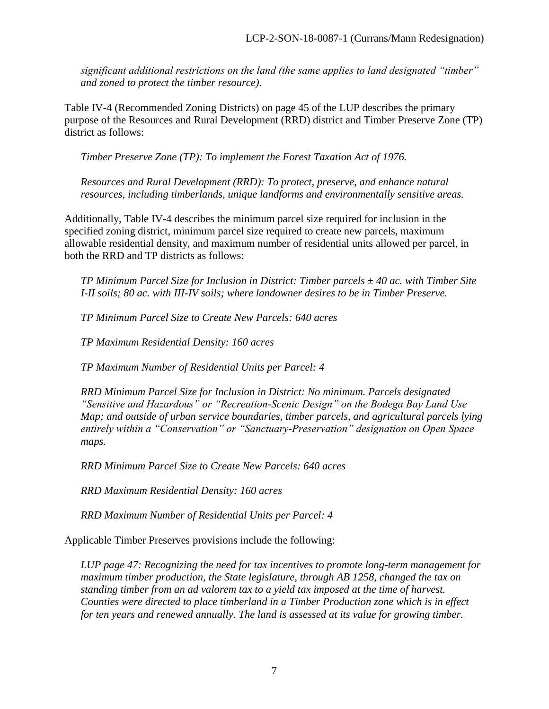*significant additional restrictions on the land (the same applies to land designated "timber" and zoned to protect the timber resource).*

Table IV-4 (Recommended Zoning Districts) on page 45 of the LUP describes the primary purpose of the Resources and Rural Development (RRD) district and Timber Preserve Zone (TP) district as follows:

*Timber Preserve Zone (TP): To implement the Forest Taxation Act of 1976.* 

*Resources and Rural Development (RRD): To protect, preserve, and enhance natural resources, including timberlands, unique landforms and environmentally sensitive areas.* 

Additionally, Table IV-4 describes the minimum parcel size required for inclusion in the specified zoning district, minimum parcel size required to create new parcels, maximum allowable residential density, and maximum number of residential units allowed per parcel, in both the RRD and TP districts as follows:

*TP Minimum Parcel Size for Inclusion in District: Timber parcels ± 40 ac. with Timber Site I-II soils; 80 ac. with III-IV soils; where landowner desires to be in Timber Preserve.*

*TP Minimum Parcel Size to Create New Parcels: 640 acres*

*TP Maximum Residential Density: 160 acres*

*TP Maximum Number of Residential Units per Parcel: 4*

*RRD Minimum Parcel Size for Inclusion in District: No minimum. Parcels designated "Sensitive and Hazardous" or "Recreation-Scenic Design" on the Bodega Bay Land Use Map; and outside of urban service boundaries, timber parcels, and agricultural parcels lying entirely within a "Conservation" or "Sanctuary-Preservation" designation on Open Space maps.*

*RRD Minimum Parcel Size to Create New Parcels: 640 acres*

*RRD Maximum Residential Density: 160 acres*

*RRD Maximum Number of Residential Units per Parcel: 4*

Applicable Timber Preserves provisions include the following:

*LUP page 47: Recognizing the need for tax incentives to promote long-term management for maximum timber production, the State legislature, through AB 1258, changed the tax on standing timber from an ad valorem tax to a yield tax imposed at the time of harvest. Counties were directed to place timberland in a Timber Production zone which is in effect for ten years and renewed annually. The land is assessed at its value for growing timber.*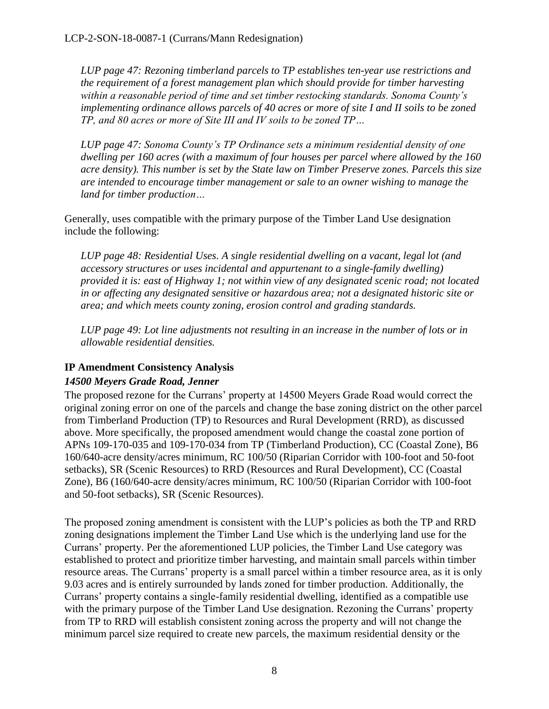*LUP page 47: Rezoning timberland parcels to TP establishes ten-year use restrictions and the requirement of a forest management plan which should provide for timber harvesting within a reasonable period of time and set timber restocking standards. Sonoma County's implementing ordinance allows parcels of 40 acres or more of site I and II soils to be zoned TP, and 80 acres or more of Site III and IV soils to be zoned TP…*

*LUP page 47: Sonoma County's TP Ordinance sets a minimum residential density of one dwelling per 160 acres (with a maximum of four houses per parcel where allowed by the 160 acre density). This number is set by the State law on Timber Preserve zones. Parcels this size are intended to encourage timber management or sale to an owner wishing to manage the land for timber production…* 

Generally, uses compatible with the primary purpose of the Timber Land Use designation include the following:

*LUP page 48: Residential Uses. A single residential dwelling on a vacant, legal lot (and accessory structures or uses incidental and appurtenant to a single-family dwelling) provided it is: east of Highway 1; not within view of any designated scenic road; not located in or affecting any designated sensitive or hazardous area; not a designated historic site or area; and which meets county zoning, erosion control and grading standards.*

*LUP page 49: Lot line adjustments not resulting in an increase in the number of lots or in allowable residential densities.* 

## **IP Amendment Consistency Analysis**

#### *14500 Meyers Grade Road, Jenner*

The proposed rezone for the Currans' property at 14500 Meyers Grade Road would correct the original zoning error on one of the parcels and change the base zoning district on the other parcel from Timberland Production (TP) to Resources and Rural Development (RRD), as discussed above. More specifically, the proposed amendment would change the coastal zone portion of APNs 109-170-035 and 109-170-034 from TP (Timberland Production), CC (Coastal Zone), B6 160/640-acre density/acres minimum, RC 100/50 (Riparian Corridor with 100-foot and 50-foot setbacks), SR (Scenic Resources) to RRD (Resources and Rural Development), CC (Coastal Zone), B6 (160/640-acre density/acres minimum, RC 100/50 (Riparian Corridor with 100-foot and 50-foot setbacks), SR (Scenic Resources).

The proposed zoning amendment is consistent with the LUP's policies as both the TP and RRD zoning designations implement the Timber Land Use which is the underlying land use for the Currans' property. Per the aforementioned LUP policies, the Timber Land Use category was established to protect and prioritize timber harvesting, and maintain small parcels within timber resource areas. The Currans' property is a small parcel within a timber resource area, as it is only 9.03 acres and is entirely surrounded by lands zoned for timber production. Additionally, the Currans' property contains a single-family residential dwelling, identified as a compatible use with the primary purpose of the Timber Land Use designation. Rezoning the Currans' property from TP to RRD will establish consistent zoning across the property and will not change the minimum parcel size required to create new parcels, the maximum residential density or the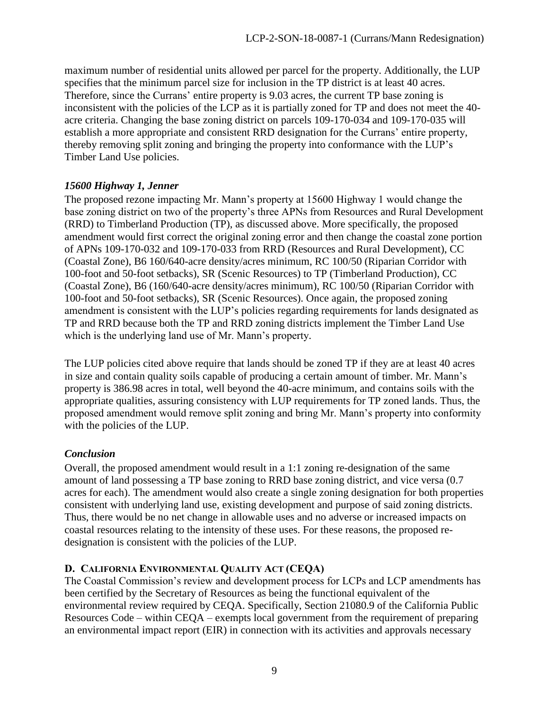maximum number of residential units allowed per parcel for the property. Additionally, the LUP specifies that the minimum parcel size for inclusion in the TP district is at least 40 acres. Therefore, since the Currans' entire property is 9.03 acres, the current TP base zoning is inconsistent with the policies of the LCP as it is partially zoned for TP and does not meet the 40 acre criteria. Changing the base zoning district on parcels 109-170-034 and 109-170-035 will establish a more appropriate and consistent RRD designation for the Currans' entire property, thereby removing split zoning and bringing the property into conformance with the LUP's Timber Land Use policies.

## *15600 Highway 1, Jenner*

The proposed rezone impacting Mr. Mann's property at 15600 Highway 1 would change the base zoning district on two of the property's three APNs from Resources and Rural Development (RRD) to Timberland Production (TP), as discussed above. More specifically, the proposed amendment would first correct the original zoning error and then change the coastal zone portion of APNs 109-170-032 and 109-170-033 from RRD (Resources and Rural Development), CC (Coastal Zone), B6 160/640-acre density/acres minimum, RC 100/50 (Riparian Corridor with 100-foot and 50-foot setbacks), SR (Scenic Resources) to TP (Timberland Production), CC (Coastal Zone), B6 (160/640-acre density/acres minimum), RC 100/50 (Riparian Corridor with 100-foot and 50-foot setbacks), SR (Scenic Resources). Once again, the proposed zoning amendment is consistent with the LUP's policies regarding requirements for lands designated as TP and RRD because both the TP and RRD zoning districts implement the Timber Land Use which is the underlying land use of Mr. Mann's property.

The LUP policies cited above require that lands should be zoned TP if they are at least 40 acres in size and contain quality soils capable of producing a certain amount of timber. Mr. Mann's property is 386.98 acres in total, well beyond the 40-acre minimum, and contains soils with the appropriate qualities, assuring consistency with LUP requirements for TP zoned lands. Thus, the proposed amendment would remove split zoning and bring Mr. Mann's property into conformity with the policies of the LUP.

#### *Conclusion*

Overall, the proposed amendment would result in a 1:1 zoning re-designation of the same amount of land possessing a TP base zoning to RRD base zoning district, and vice versa (0.7 acres for each). The amendment would also create a single zoning designation for both properties consistent with underlying land use, existing development and purpose of said zoning districts. Thus, there would be no net change in allowable uses and no adverse or increased impacts on coastal resources relating to the intensity of these uses. For these reasons, the proposed redesignation is consistent with the policies of the LUP.

## <span id="page-8-0"></span>**D. CALIFORNIA ENVIRONMENTAL QUALITY ACT (CEQA)**

The Coastal Commission's review and development process for LCPs and LCP amendments has been certified by the Secretary of Resources as being the functional equivalent of the environmental review required by CEQA. Specifically, Section 21080.9 of the California Public Resources Code – within CEQA – exempts local government from the requirement of preparing an environmental impact report (EIR) in connection with its activities and approvals necessary